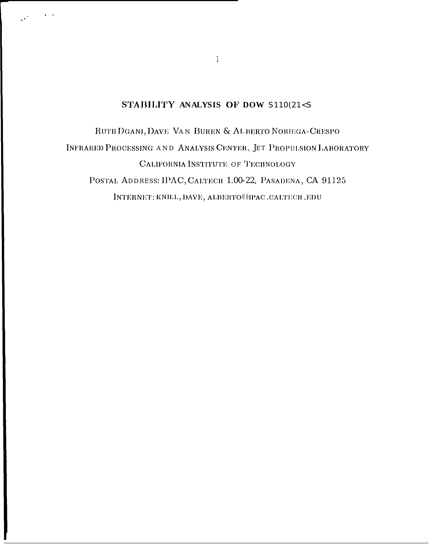# STABILITY ANALYSIS OF DOW S110(21<S)

RUTH DGANI, DAVE VAN BUREN & AL BERTO NORIEGA-CRESPO INFRARED PROCESSING AND ANALYSIS CENTER, JET PROPULSION LABORATORY CALIFORNIA INSTITUTE OF TECHNOLOGY POSTAL ADDRESS: IPAC, CALTECH 1.00-22, PASADENA, CA 91125 INTERNET: KNH.L, DAVE, ALBERTO@IPAC.CALTECH.EDU

 $\mathbf{1}$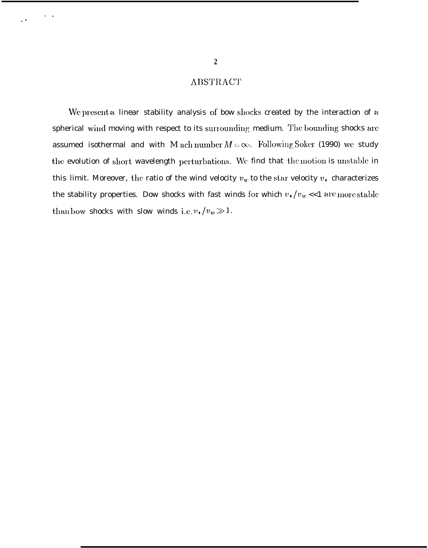# **ABSTRACT**

We present a linear stability analysis of bow shocks created by the interaction of a spherical wind moving with respect to its surrounding medium. The bounding shocks are assumed isothermal and with M ach number  $M = \infty$ . Following Soker (1990) we study the evolution of short wavelength perturbations. We find that the motion is unstable in this limit. Moreover, the ratio of the wind velocity  $v_w$  to the star velocity  $v_*$  characterizes the stability properties. Dow shocks with fast winds for which  $v_\star/v_w << 1$  are more stable than bow shocks with slow winds i.e.  $v_1/v_w \gg 1$ .

 $\alpha = 1$ 

 $\ddot{\phantom{1}}$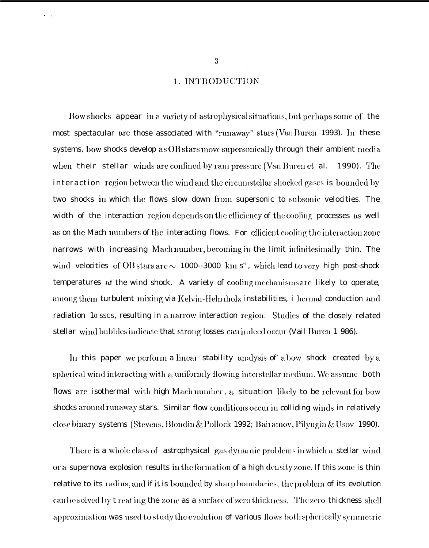## 1. INTRODUCTION

Bow shocks appear in a variety of astrophysical situations, but perhaps some of the most spectacular are those associated with "runaway" stars (Van Buren 1993). In these systems, bow shocks develop as  $OB$  stars move supersonically through their ambient media when their stellar winds are confined by rain pressure (Van Buren et al. 1990). The interaction region between the wind and the circumstellar shocked gases is bounded by two shocks in which the flows slow down from supersonic to subsonic velocities. The width of the interaction region depends on the efficiency of the cooling processes as well as on the Mach numbers of the interacting flows. For efficient cooling the interaction zone narrows with increasing Mach number, becoming in the limit infinitesimally thin. The wind velocities of OB stars arc  $\sim$  1000--3000 km s<sup>-1</sup>, which lead to very high post-shock temperatures at the wind shock. A variety of cooling mechanisms are likely to operate, among them turbulent mixing via Kelvin-Helmholz instabilities, i hermal conduction and radiation 10 sscs, resulting in a narrow interaction region. Studies of the closely related stellar wind bubbles indicate that strong losses can indeed occur (Vail Buren 1 986).

In this paper we perform a linear stability analysis of a bow shock created by a spherical wind interacting with a uniformly flowing interstellar medium. We assume both flows are isothermal with high Mach number, a situation likely to be relevant for bow shocks around runaway stars. Similar flow conditions occur in colliding winds in relatively close binary systems (Stevens, Blondin & Pollock 1992; Bail amov, Pilyugin & Usov 1990).

There is a whole class of astrophysical gas dynamic problems in which a stellar wind or a supernova explosion results in the formation of a high density zone. If this zone is thin relative to its radius, and if it is bounded by sharp boundaries, the problem of its evolution can be solved by t reating the zone as a surface of zero thickness. The zero thickness shell approximation was used to study the evolution of various flows both spherically symmetric

.,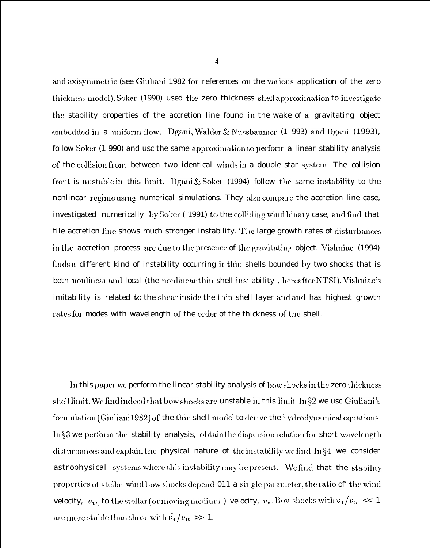**4**

and axisymmetric (see Giuliani 1982 for references on the various application of the zero thickness model), Soker (1990) used the zero thickness shell approximation to investigate the stability properties of the accretion line found in the wake of a gravitating object embedded in a uniform flow. Dgani, Walder  $\&$  Nussbaumer (1 993) and Dgani (1993), follow Soker (1 990) and usc the same approximation to perform a linear stability analysis of the collision front between two identical winds in a double star system. The collision front is unstable in this limit. Dgani  $&$  Soker (1994) follow the same instability to the nonlinear regime using numerical simulations. They also compare the accretion line case, investigated numerically by Soker (1991) to the colliding wind binary case, and find that tile accretion line shows much stronger instability. The large growth rates of disturbances in the accretion process are due to the presence of the gravitating object. Vishniac  $(1994)$ finds a different kind of instability occurring in thin shells bounded by two shocks that is both nonlinear and local (the nonlinear thin shell inst ability, hereafter NTSI). Vishniac's imitability is related to the shear inside the thin shell layer and and has highest growth rates for modes with wavelength of the order of the thickness of the shell.

In this paper we perform the linear stability analysis of bow shocks in the zero thickness shell limit. We find indeed that bow shocks are unstable in this limit. In §2 we usc Giuliani's formulation (Giuliani 1982) of the thin shell model to derive the hydrodynamical equations. In  $\S3$  we perform the stability analysis, obtain the dispersion relation for short wavelength disturbances and explain the physical nature of the instability we find. In  $\S 4$  we consider astrophysical systems where this instability may be present. We find that the stability properties of stellar wind bow shocks depend 011 a single parameter, the ratio of the wind velocity,  $v_w$ , to the stellar (or moving medium) velocity,  $v_*$ . Bow shocks with  $v_* /v_w \ll 1$ are more stable than those with  $\vec{v}_*/v_w \gg 1$ .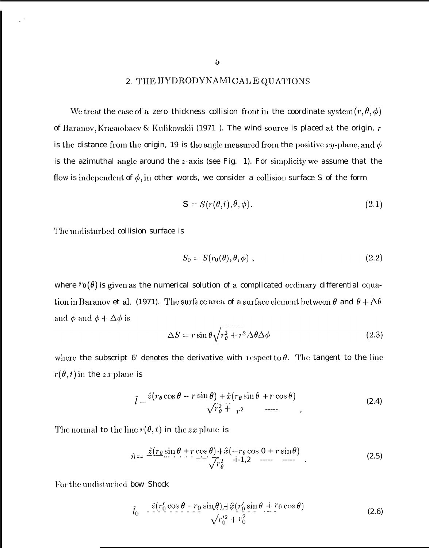# 2. THE HYDRODYNAMICAL EQUATIONS

We treat the case of a zero thickness collision front in the coordinate system  $(r, \theta, \phi)$ of Baranov, Krasnobaev & Kulikovskii (1971). The wind source is placed at the origin,  $r$ is the distance from the origin, 19 is the angle measured from the positive xy-plane, and  $\phi$ is the azimuthal angle around the  $z$ -axis (see Fig. 1). For simplicity we assume that the flow is independent of  $\phi$ , in other words, we consider a collision surface S of the form

$$
\mathbf{S} = S(r(\theta, t), \theta, \phi). \tag{2.1}
$$

The undisturbed collision surface is

$$
S_0 = S(r_0(\theta), \theta, \phi) \tag{2.2}
$$

where  $r_0(\theta)$  is given as the numerical solution of a complicated ordinary differential equation in Baranov et al. (1971). The surface area of a surface element between  $\theta$  and  $\theta + \Delta\theta$ and  $\phi$  and  $\phi + \Delta \phi$  is

$$
\Delta S = r \sin \theta \sqrt{r_{\theta}^2 + r^2} \Delta \theta \Delta \phi \qquad (2.3)
$$

where the subscript 6' denotes the derivative with respect to  $\theta$ . The tangent to the line  $r(\theta, t)$  in the zx plane is

$$
\hat{l} = \frac{\hat{z}(r_{\theta}\cos\theta - r\sin\theta) + \hat{x}(r_{\theta}\sin\theta + r\cos\theta)}{\sqrt{r_{\theta}^2 + r^2}}
$$
\n(2.4)

The normal to the line  $r(\theta, t)$  in the zx plane is

$$
\hat{n} = \frac{\hat{z}(r_{\theta}\sin\theta + r\cos\theta) + \hat{x}(-r_{\theta}\cos 0 + r\sin\theta)}{\sqrt{r_{\theta}^2}}
$$
\n(2.5)

For the undisturbed bow Shock

$$
\hat{l}_0 = \frac{\hat{z}(r'_0 \cos \theta - r_0 \sin \theta) + \hat{z}(r'_0 \sin \theta - r_0 \cos \theta)}{\sqrt{r'_0^2 + r_0^2}}
$$
\n(2.6)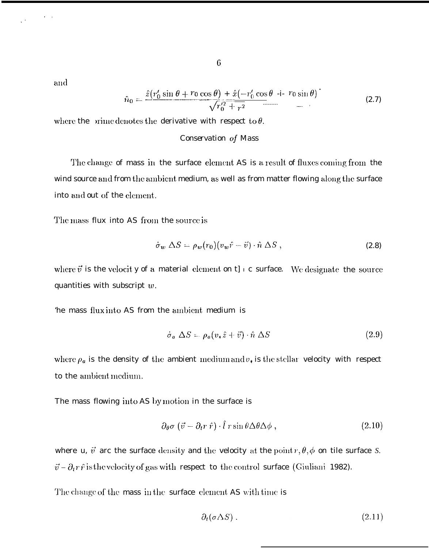and

$$
\hat{n}_0 = \frac{\hat{z}(r'_0 \sin \theta + r_0 \cos \theta) + \hat{x}(-r'_0 \cos \theta - \mathbf{i} - r_0 \sin \theta)}{\sqrt{r_0^2 + r^2}} \tag{2.7}
$$

where the prime denotes the derivative with respect to  $\theta$ .

### Conservation of Mass

The change of mass in the surface element AS is a result of fluxes coming from the wind source and from the ambient medium, as well as from matter flowing along the surface into and out of the element.

The mass flux into AS from the source is

$$
\dot{\sigma}_w \; \Delta S = \rho_w(r_0)(v_w \hat{r} - \vec{v}) \cdot \hat{n} \; \Delta S \; , \tag{2.8}
$$

where  $\vec{v}$  is the velocity of a material element on t]  $\epsilon$  surface. We designate the source quantities with subscript  $w$ .

the mass flux into AS from the ambient medium is

$$
\dot{\sigma}_a \Delta S = \rho_a (v_* \hat{z} + \vec{v}) \cdot \hat{n} \Delta S \tag{2.9}
$$

where  $\rho_a$  is the density of the ambient medium and  $v_*$  is the stellar velocity with respect to the ambient medium.

The mass flowing into AS by motion in the surface is

$$
\partial_{\theta}\sigma\left(\vec{v}-\partial_{t}r\,\hat{r}\right)\cdot\hat{l}\,r\sin\theta\Delta\theta\Delta\phi\,,\tag{2.10}
$$

where u,  $\vec{v}$  arc the surface density and the velocity at the point  $r, \theta, \phi$  on tile surface S.  $\vec{v}$  –  $\partial_t r \hat{r}$  is the velocity of gas with respect to the control surface (Giuliani 1982).

The change of the mass in the surface element AS with time is

$$
\partial_t(\sigma \Delta S) \,. \tag{2.11}
$$

 $\boldsymbol{6}$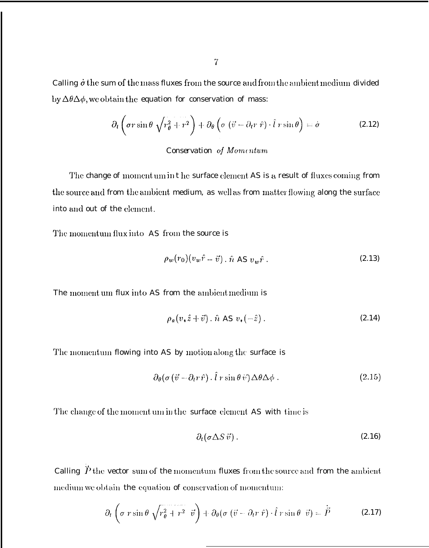Calling  $\dot{\sigma}$  the sum of the mass fluxes from the source and from the ambient medium divided by  $\Delta\theta\Delta\phi$ , we obtain the equation for conservation of mass:

$$
\partial_t \left( \sigma r \sin \theta \sqrt{r_{\theta}^2 + r^2} \right) + \partial_{\theta} \left( \sigma \left( \vec{v} - \partial_t r \hat{r} \right) \cdot \hat{l} \, r \sin \theta \right) = \dot{\sigma} \tag{2.12}
$$

## Conservation of Momentum

The change of momentum in the surface element AS is a result of fluxes coming from the source and from the ambient medium, as well as from matter flowing along the surface into and out of the element.

The momentum flux into AS from the source is

$$
\rho_w(r_0)(v_w\hat{r} - \vec{v}) \cdot \hat{n} \text{ AS } v_w\hat{r} \ . \tag{2.13}
$$

The moment um flux into AS from the ambient medium is

$$
\rho_a(v_*\hat{z}+\vec{v}) \cdot \hat{n} \text{ AS } v_*(-\hat{z}) \,. \tag{2.14}
$$

The momentum flowing into AS by motion along the surface is

$$
\partial_{\theta} (\sigma (\vec{v} - \partial_{t} r \hat{r}). \hat{l} r \sin \theta \, \dot{v}) \Delta \theta \Delta \phi . \qquad (2.15)
$$

The change of the moment um in the surface element AS with time is

$$
\partial_t (\sigma \Delta S \vec{v}) \,. \tag{2.16}
$$

Calling  $\overrightarrow{P}$  the vector sum of the momentum fluxes from the source and from the ambient medium we obtain the equation of conservation of momentum:

$$
\partial_t \left( \sigma \, r \sin \theta \, \sqrt{r_\theta^2 + r^2} \, \vec{v} \right) + \partial_\theta \left( \sigma \left( \vec{v} - \partial_t r \, \hat{r} \right) \cdot \hat{l} \, r \sin \theta \, \vec{v} \right) = \dot{\vec{P}} \tag{2.17}
$$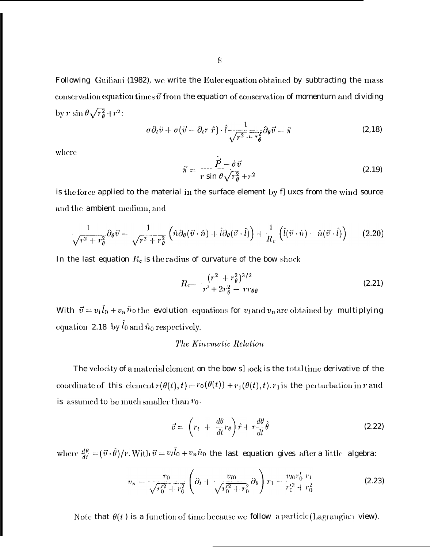Following Guiliani (1982), we write the Euler equation obtained by subtracting the mass conservation equation times  $\vec{v}$  from the equation of conservation of momentum and dividing by r sin  $\theta \sqrt{r_{\theta}^2 + r^2}$ :

$$
\sigma \partial_t \vec{v} + \sigma (\vec{v} - \partial_t r \hat{r}) \cdot \hat{l} - \frac{1}{\sqrt{r^2 + r^2} \theta} \partial_\theta \vec{v} = \vec{\pi}
$$
 (2.18)

where

$$
\vec{\pi} = \frac{\dot{\vec{P}} - \dot{\sigma}\vec{v}}{r\sin\theta\sqrt{r_{\theta}^2 + r^2}}\tag{2.19}
$$

is the force applied to the material in the surface element by f] uxcs from the wind source and the ambient medium, and

$$
\frac{1}{\sqrt{r^2+r_\theta^2}}\partial_\theta \vec{v} = \frac{1}{\sqrt{r^2+r_\theta^2}} \left(\hat{n}\partial_\theta(\vec{v}\cdot\hat{n}) + \hat{l}\partial_\theta(\vec{v}\cdot\hat{l})\right) + \frac{1}{R_c} \left(\hat{l}(\vec{v}\cdot\hat{n}) - \hat{n}(\vec{v}\cdot\hat{l})\right) \tag{2.20}
$$

In the last equation  $R_c$  is the radius of curvature of the bow shock

$$
R_{\rm c} = \frac{(r^2 + r_{\theta}^2)^{3/2}}{r^2 + 2r_{\theta}^2 - rr_{\theta\theta}}
$$
 (2.21)

With  $\vec{v} = v_l \hat{l}_0 + v_n \hat{n}_0$  the evolution equations for  $v_l$  and  $v_n$  are obtained by multiplying equation 2.18 by  $\hat{l}_0$  and  $\hat{n}_0$  respectively.

# The Kinematic Relation

The velocity of a material element on the bow s] lock is the total time derivative of the coordinate of this element  $r(\theta(t), t) = r_0(\theta(t)) + r_1(\theta(t), t)$ .  $r_1$  is the perturbation in r and is assumed to be much smaller than  $r_0$ .

$$
\vec{v} = \left(r_t + \frac{d\theta}{dt}r_\theta\right)\hat{r} + r\frac{d\theta}{dt}\hat{\theta}
$$
\n(2.22)

where  $\frac{d\theta}{dt} = (\vec{v} \cdot \hat{\theta})/r$ . With  $\vec{v} = v_l \hat{l}_0 + v_n \hat{n}_0$  the last equation gives after a little algebra:

$$
v_n = \frac{r_0}{\sqrt{r_0'^2 + r_0^2}} \left( \partial_t + \frac{v_{l0}}{\sqrt{r_0'^2 + r_0^2}} \partial_\theta \right) r_1 - \frac{v_{l0} r_0' r_1}{r_0'^2 + r_0^2} \tag{2.23}
$$

Note that  $\theta(t)$  is a function of time because we follow a particle (Lagrangian view).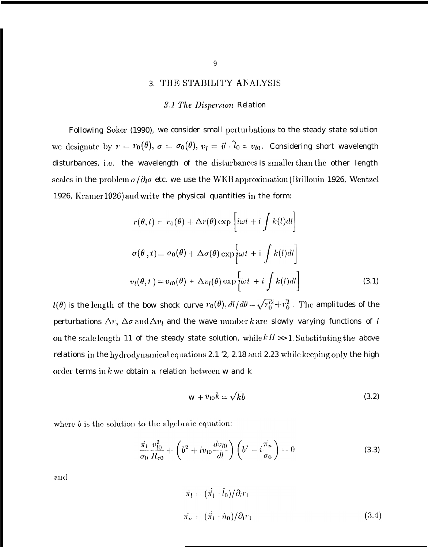# 3. THE STABILITY ANALYSIS

#### **3.1 The Dispersion Relation**

Following Soker (1990), we consider small perturbations to the steady state solution we designate by  $r = r_0(\theta)$ ,  $\sigma = \sigma_0(\theta)$ ,  $v_l = \vec{v} \cdot \hat{l}_0 = v_{l0}$ . Considering short wavelength disturbances, i.e. the wavelength of the disturbances is smaller than the other length scales in the problem  $\sigma/\partial_l \sigma$  etc. we use the WKB approximation (Brillouin 1926, Wentzel 1926, Kramer 1926) and write the physical quantities in the form:

$$
r(\theta, t) = r_0(\theta) + \Delta r(\theta) \exp \left[ i\omega t + i \int k(l)dl \right]
$$
  

$$
\sigma(\theta, t) = \sigma_0(\theta) + \Delta \sigma(\theta) \exp \left[ i\omega t + i \int k(l)dl \right]
$$
  

$$
v_l(\theta, t) = v_{l0}(\theta) + \Delta v_l(\theta) \exp \left[ i\omega t + i \int k(l)dl \right]
$$
 (3.1)

 $l(\theta)$  is the length of the bow shock curve  $r_0(\theta)$ ,  $dl/d\theta = \sqrt{r_0'^2 + r_0^2}$ . The amplitudes of the perturbations  $\Delta r$ ,  $\Delta \sigma$  and  $\Delta v_l$  and the wave number k are slowly varying functions of l on the scale length 11 of the steady state solution, while  $kH \gg 1$ . Substituting the above relations in the hydrodynamical equations 2.1 '2, 2.18 and 2.23 while keeping only the high order terms in  $k$  we obtain a relation between w and k

$$
w + v_{l0}k = \sqrt{k}b\tag{3.2}
$$

where  $b$  is the solution to the algebraic equation:

$$
\frac{\dot{\pi}_l v_{l0}^2}{\sigma_0 R_{c0}} + \left(b^2 + i v_{l0} \frac{dv_{l0}}{dl}\right) \left(b^2 - i \frac{\dot{\pi}_n}{\sigma_0}\right) = 0 \tag{3.3}
$$

 $\alpha$  and

$$
\vec{\pi}_l = (\dot{\vec{\pi}}_1 \cdot \hat{l}_0) / \partial_l r_1
$$
  
\n
$$
\vec{\pi}_n = (\dot{\vec{\pi}}_1 \cdot \hat{n}_0) / \partial_l r_1
$$
\n(3.4)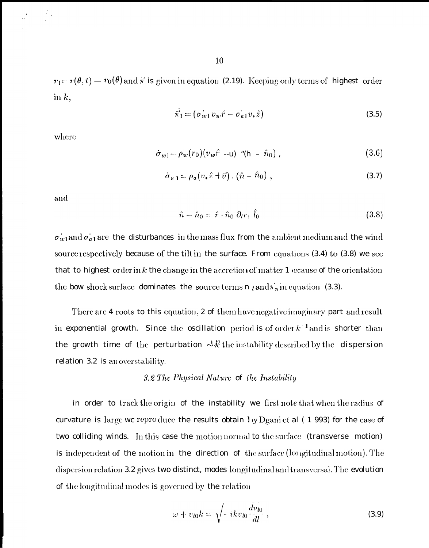$r_1 = r(\theta, t) = r_0(\theta)$  and  $\vec{\pi}$  is given in equation (2.19). Keeping only terms of highest order in  $k$ ,

$$
\vec{\pi}_1 = (\vec{\sigma_{w1}} \, v_w \hat{r} - \vec{\sigma_{a1}} \, v_* \hat{z}) \tag{3.5}
$$

where

$$
\dot{\sigma}_{w1} = \rho_w(r_0) (v_w \hat{r} - u) \cdot (h - \hat{n}_0) , \qquad (3.6)
$$

$$
\dot{\sigma}_{a,1} = \rho_a (v_* \hat{z} + \vec{v}) \cdot (\hat{n} - \hat{n}_0) , \qquad (3.7)
$$

and

$$
\hat{n} - \hat{n}_0 = \hat{r} \cdot \hat{n}_0 \partial_l r_1 \hat{l}_0 \tag{3.8}
$$

 $\vec{\sigma_{w1}}$  and  $\vec{\sigma_{a1}}$  are the disturbances in the mass flux from the ambient medium and the wind source respectively because of the tilt in the surface. From equations (3.4) to (3.8) we see that to highest order in  $k$  the change in the accretion of matter 1 secause of the orientation the bow shock surface dominates the source terms n  $\ell$  and  $\pi_n$  in equation (3.3).

There are 4 roots to this equation, 2 of them have negative imaginary part and result in exponential growth. Since the oscillation period is of order  $k^{-1}$  and is shorter than the growth time of the perturbation  $\partial \mathcal{R}$  the instability described by the dispersion relation 3.2 is an overstability.

### 3.2 The Physical Nature of the Instability

in order to track the origin of the instability we first note that when the radius of curvature is large we reproduce the results obtain by Dgani et al  $(1\ 993)$  for the case of two colliding winds. In this case the motion normal to the surface (transverse motion) is independent of the motion in the direction of the surface (longitudinal motion). The dispersion relation 3.2 gives two distinct, modes longitudinal and transversal. The evolution of the longitudinal modes is governed by the relation

$$
\omega + v_{l0}k = \sqrt{-ikv_{l0}\frac{dv_{l0}}{dl}}, \qquad (3.9)
$$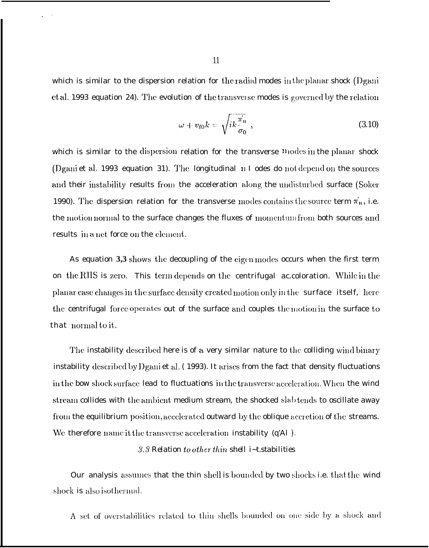which is similar to the dispersion relation for the radial modes in the planar shock (Dgani et al. 1993 equation 24). The evolution of the transverse modes is governed by the relation

$$
\omega + v_{l0}k = \sqrt{ik\frac{\pi_n}{\sigma_0}}, \qquad (3.10)
$$

which is similar to the dispersion relation for the transverse  $\mathbf{n}_{10}$  des in the planar shock (Dgani et al. 1993 equation 31). The longitudinal 11 I odes do not depend on the sources and their instability results from the acceleration along the undisturbed surface (Soker 1990). The dispersion relation for the transverse modes contains the source term  $\pi_n$ , i.e. the motion normal to the surface changes the fluxes of momentum from both sources and results in a net force on the element.

As equation 3,3 shows the decoupling of the eigen modes occurs when the first term on the RHS is zero. This term depends on the centrifugal accoloration. While in the planar case changes in the surface density created motion only in the surface itself, here the centrifugal force operates out of the surface and couples the motion in the surface to that normal to it.

The instability described here is of a very similar nature to the colliding wind binary instability described by Dgani et al. (1993). It arises from the fact that density fluctuations in the bow shock surface lead to fluctuations in the transverse acceleration. When the wind stream collides with the ambient medium stream, the shocked slab tends to oscillate away from the equilibrium position, accelerated outward by the oblique accretion of the streams. We therefore name it the transverse acceleration instability (q'Al).

## 3.3 Relation to other thin shell *i*~t.stabilities

Our analysis assumes that the thin shell is bounded by two shocks i.e. that the wind shock is also isothermal.

A set of overstabilities related to thin shells bounded on one side by a shock and

11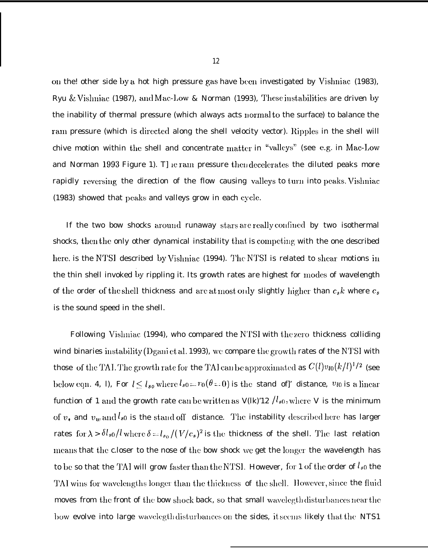on the! other side by a hot high pressure gas have hen investigated by Vislmiac (1983), Ryu & Vishniac (1987), and Mac-Low & Norman (1993), These instabilities are driven by the inability of thermal pressure (which always acts normal to the surface) to balance the ram pressure (which is directed along the shell velocity vector). Ripples in the shell will chive motion within the shell and concentrate matter in "valleys" (see e.g. in Mac-Low and Norman 1993 Figure 1). T]  $e$  ram pressure then decelerates the diluted peaks more rapidly reversing the direction of the flow causing valleys to turn into peaks. Vishniac  $(1983)$  showed that peaks and valleys grow in each cycle.

If the two bow shocks around runaway stars are really confined by two isothermal shocks, then the only other dynamical instability that is competing with the one described here. is the NTSI described by Vislmiac (1994). The NTSI is related to shear motions in the thin shell invoked by rippling it. Its growth rates are highest for modes of wavelength of the order of the shell thickness and are at most only slightly higher than  $c_s k$  where  $c_s$ is the sound speed in the shell.

Following Vishniac  $(1994)$ , who compared the NTSI with the zero thickness colliding wind binaries instability (Dgani et al. 1993), we compare the growth rates of the NTSI with those of the TAI. The growth rate for the TAI can be approximated as  $C(l)v_{l0}(k/l)^{1/2}$  (see below eqn. 4, 1), For  $l \leq l_{so}$  where  $l_{so} = r_0(\theta = 0)$  is the stand of]' distance,  $v_{l0}$  is a linear function of 1 and the growth rate can be written as  $V(lk)/12$  /l<sub>s0</sub>, where V is the minimum of  $v_*$  and  $v_w$  and  $l_{s0}$  is the stand off distance. The instability described here has larger rates for  $\lambda > \delta l_{s0}/l$  where  $\delta = l_{s0}/(V/c_s)^2$  is the thickness of the shell. The last relation means that the c.loser to the nose of the bow shock we get the longer the wavelength has to be so that the TAI will grow faster than the NTSI. However, for 1 of the order of  $l_{s0}$  the TAI wins for wavelengths longer than the thickness of the shell. However, since the fluid moves from the front of the bow shock back, so that small wavelegth disturbances near the how evolve into large wavelegth disturbances on the sides, it seems likely that the NTS1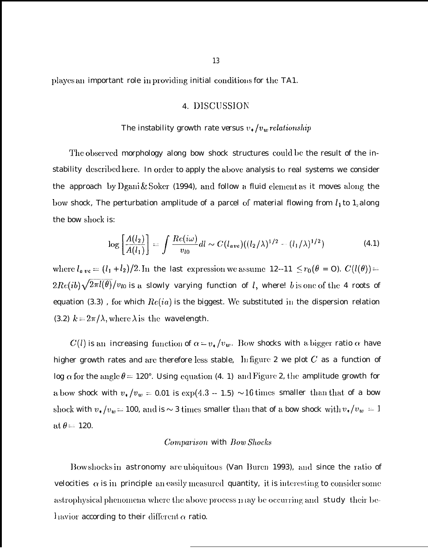playes an important role in providing initial conditions for the TA1.

# 4. DISCUSSION

# The instability growth rate versus  $v_*/v_w$  relationship

The observed morphology along bow shock structures could be the result of the instability described here. In order to apply the above analysis to real systems we consider the approach by Dgani & Soker (1994), and follow a fluid element as it moves along the bow shock, The perturbation amplitude of a parcel of material flowing from  $l_1$  to  $1_z$  along the bow shock is:

$$
\log\left[\frac{A(l_2)}{A(l_1)}\right] = \int \frac{Re(i\omega)}{v_{l0}} dl \sim C(l_{ave})((l_2/\lambda)^{1/2} - (l_1/\lambda)^{1/2})
$$
(4.1)

where  $l_{a,ve} = (l_1 + l_2)/2$ . In the last expression we assume 12--11  $\leq r_0(\theta = 0)$ .  $C(l(\theta)) =$  $2Re(ib)\sqrt{2\pi l(\theta)}/v_{l0}$  is a slowly varying function of l, where! b is one of the 4 roots of equation (3.3), for which  $Re(ia)$  is the biggest. We substituted in the dispersion relation (3.2)  $k = 2\pi/\lambda$ , where  $\lambda$  is the wavelength.

 $C(l)$  is an increasing function of  $\alpha = v_*/v_w$ . Bow shocks with a bigger ratio  $\alpha$  have higher growth rates and are therefore less stable, Infigure 2 we plot  $C$  as a function of log  $\alpha$  for the angle  $\theta = 120^{\circ}$ . Using equation (4. 1) and Figure 2, the amplitude growth for a bow shock with  $v_*/v_w = 0.01$  is  $\exp(4.3 - 1.5) \sim 16$  times smaller than that of a bow shock with  $v_*/v_w = 100$ , and is  $\sim$  3 times smaller than that of a bow shock with  $v_*/v_w = 1$ at  $\theta = 120$ .

## Comparison with Bow Shocks

Bow shocks in astronomy are ubiquitous (Van Buren 1993), and since the ratio of velocities  $\alpha$  is in principle an easily measured quantity, it is interesting to consider some astrophysical phenomena where the above process may be occurring and study their behavior according to their different  $\alpha$  ratio.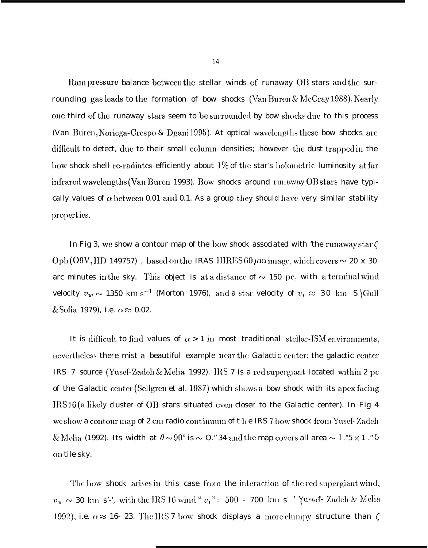Ram pressure balance between the stellar winds of runaway OB stars and the surrounding gas leads to the formation of bow shocks (Van Buren & McCray 1988). Nearly one third of the runaway stars seem to be surrounded by bow shocks due to this process (Van Buren, Noriega-Crespo & Dgani 1995). At optical wavelengths these bow shocks are difficult to detect, due to their small column densities; however the dust trapped in the bow shock shell re-radiates efficiently about  $1\%$  of the star's bolometric luminosity at far infrared wavelengths (Van Buren 1993). Bow shocks around runaway OB stars have typically values of  $\alpha$  between 0.01 and 0.1. As a group they should have very similar stability properties.

In Fig 3, we show a contour map of the bow shock associated with 'the runaway star  $\zeta$ Oph (O9V, HD 149757), based on the IRAS HIRES 60  $\mu$ m image, which covers  $\sim$  20 x 30 arc minutes in the sky. This object is at a distance of  $\sim$  150 pc, with a terminal wind velocity  $v_w \sim 1350$  km s<sup>-1</sup> (Morton 1976), and a star velocity of  $v_* \approx 30$  km S<sup>-1</sup> (Gull & Sofia 1979), i.e.  $\alpha \approx 0.02$ .

It is difficult to find values of  $\alpha > 1$  in most traditional stellar-ISM environments, nevertheless there mist a beautiful example near the Galactic center: the galactic center IRS 7 source (Yusef-Zadeh & Melia 1992). IRS 7 is a red supergiant located within 2 pc of the Galactic center (Scllgren et al. 1987) which shows a bow shock with its apex facing  $IRS16(a)$  likely cluster of OB stars situated even closer to the Galactic center). In Fig 4 we show a contour map of 2 cm radio continuum of t he IRS 7 bow shock from Yusef-Zadeh & Melia (1992). Its width at  $\theta \sim 90^{\circ}$  is  $\sim$  0." 34 and the map covers all area  $\sim 1$ ."5  $\times$  1 ." 5 011 tile sky.

The bow shock arises in this case from the interaction of the red supergiant wind, The bow-shock arises in this case from the interaction of the red supergrant wind,<br> $v_w \sim 30 \text{ km s}'$ , with the IRS 16 wind " $v_*$ " = 500 - 700 km s<sup>-4</sup> Yused<sup>2</sup> Zadeh & Melia 1992), i.e.  $\alpha \approx$  16- 23. The IRS 7 bow shock displays a more clumpy structure than  $\zeta$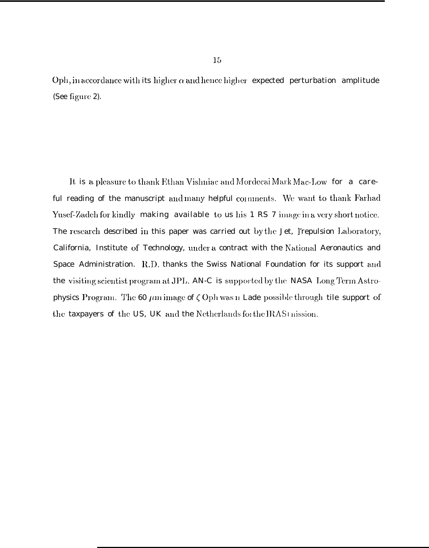Oph, in accordance with its higher  $\alpha$  and hence higher expected perturbation amplitude (See figure 2).

It is a pleasure to thank Ethan Vishniac and Mordecai Mark Mac-Low for a careful reading of the manuscript and many helpful comments. We want to thank Farhad Yusef-Zadeh for kindly making available to us his 1 RS 7 image in a very short notice. The research described in this paper was carried out by the Jet, l'repulsion Laboratory, California, Institute of Technology, under a contract with the National Aeronautics and Space Administration. R.D. thanks the Swiss National Foundation for its support and the visiting scientist program at JPL. AN-C is supported by the NASA Long Term Astrophysics Program. The 60  $\mu$ m image of  $\zeta$  Oph was n Lade possible through tile support of the taxpayers of the US, UK and the Netherlands for the IRAS Inission.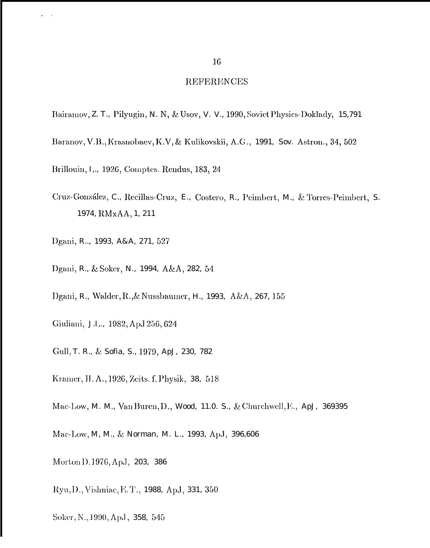#### **REFERENCES**

- Bairamov, Z. T., Pilyugin, N. N, & Usov, V. V., 1990, Soviet Physics-Doklady, 15,791
- Baranov, V.B., Krasnobaev, K.V, & Kulikovskii, A.G., 1991, Sov. Astron., 34, 502
- Brillouin, I., 1926, Comptes. Rendus, 183, 24
- Cruz-González, C., Recillas-Cruz, E., Costero, R., Peimbert, M., & Torres-Peimbert, S. 1974, RMxAA, 1, 211
- Dgani, R., 1993, A&A, 271, 527
- Dgani, R., & Soker, N., 1994, A&A, 282, 54
- Dgani, R., Walder, R., & Nussbaumer, H., 1993, A&A, 267, 155
- Giuliani, J.I.,, 1982, ApJ 256, 624
- Gull, T. R., & Sofia, S., 1979, ApJ, 230, 782
- Kramer, H. A., 1926, Zeits. f. Physik, 38, 518
- Mac-Low, M. M., Van Buren, D., Wood, 11.0. S., & Churchwell, E., ApJ, 369395
- Mac-Low, M, M., & Norman, M. L., 1993, Ap.J, 396,606
- Morton D. 1976, ApJ, 203, 386
- Ryu, D., Vishniac, E.T., 1988, ApJ, 331, 350
- Soker, N., 1990, ApJ, 358, 545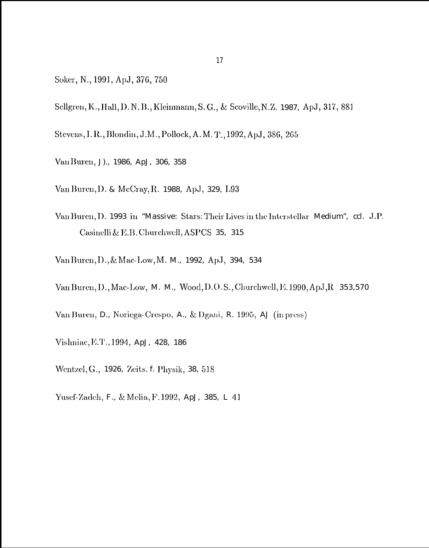- Soker, N., 1991, ApJ, 376, 750
- Sellgren, K., Hall, D. N. B., Kleinmann, S. G., & Scoville, N. Z. 1987, ApJ, 317, 881
- Stevens, I. R., Blondin, J.M., Pollock, A. M. T., 1992, ApJ, 386, 265
- Van Buren, J)., 1986, ApJ, 306, 358
- Van Buren, D. & McCray, R. 1988, ApJ, 329, L93
- Van Buren, D. 1993 in "Massive: Stars: Their Lives in the Interstellar Medium", ccl. J.P. Casinelli & E.B. Churchwell, ASPCS 35, 315
- Van Buren, D., & Mac-Low, M. M., 1992, ApJ, 394, 534
- Van Buren, D., Mac-Low, M. M., Wood, D.O.S., Churchwell, E. 1990, ApJ, R 353,570
- Van Buren, D., Noriega-Crespo, A., & Dgani, R. 1995, AJ (in press)
- Vishniac, E.T., 1994, ApJ, 428, 186
- Wentzel, G., 1926, Zeits. f. Physik, 38, 518
- Yusef-Zadeh, F., & Melia, F.1992, ApJ, 385, L 41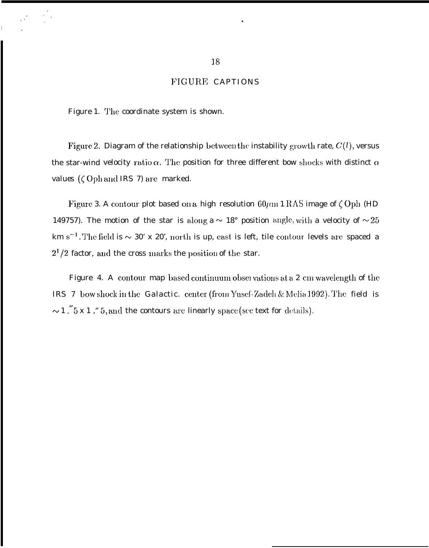# FIGURE CAPTIONS

Figure 1. TILe coordinate system is shown.

Figure 2. Diagram of the relationship between the instability  $\operatorname{growth}$  rate,  $C(l),$  versus the star-wind velocity ratio  $\alpha$ . The position for three different bow shocks with distinct  $\alpha$ *values* ( $\zeta$  Oph and IRS *7)* are marked.

Figure 3. A contour plot based on a high resolution  $60 \mu m$  1 RAS image of  $\zeta$  Oph (HD 149757). The motion of the star is along a  $\sim 18^{\circ}$  position angle, with a velocity of  $\sim 25$ km s<sup>-1</sup>. The field is  $\sim 30'$  x 20', north is up, east is left, tile contour levels are spaced a  $2<sup>1</sup>/2$  factor, and the cross marks the position of the star.

Figure 4. A contour map based continuum observations at a 2 cm wavelength of the IRS 7 bow shock in the Galactic. center (from Yusef-Zadell & Melia 1992). The field is  $\sim$  1 ."5 x 1 ," 5, and the contours are linearly space (see text for details).

.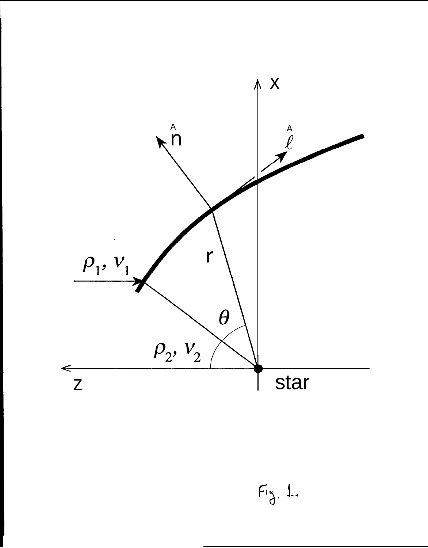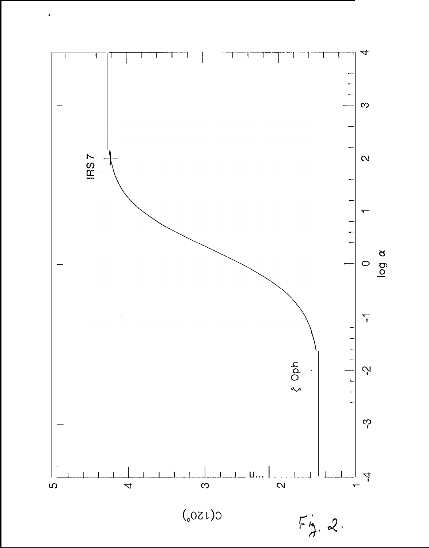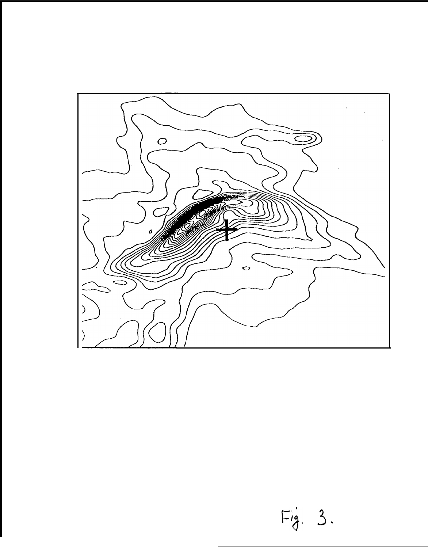

 $Fig. 3.$